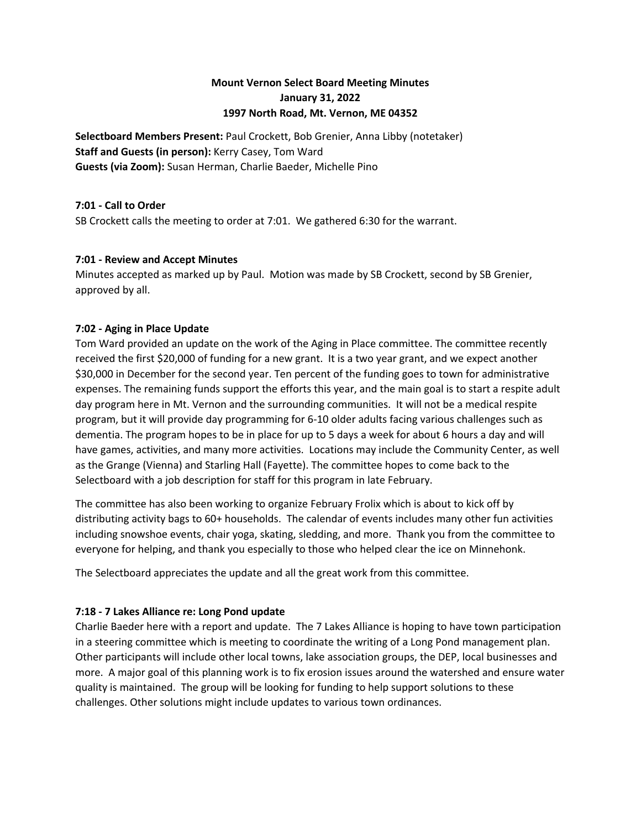# **Mount Vernon Select Board Meeting Minutes January 31, 2022 1997 North Road, Mt. Vernon, ME 04352**

**Selectboard Members Present:** Paul Crockett, Bob Grenier, Anna Libby (notetaker) **Staff and Guests (in person):** Kerry Casey, Tom Ward **Guests (via Zoom):** Susan Herman, Charlie Baeder, Michelle Pino

## **7:01 - Call to Order**

SB Crockett calls the meeting to order at 7:01. We gathered 6:30 for the warrant.

## **7:01 - Review and Accept Minutes**

Minutes accepted as marked up by Paul. Motion was made by SB Crockett, second by SB Grenier, approved by all.

## **7:02 - Aging in Place Update**

Tom Ward provided an update on the work of the Aging in Place committee. The committee recently received the first \$20,000 of funding for a new grant. It is a two year grant, and we expect another \$30,000 in December for the second year. Ten percent of the funding goes to town for administrative expenses. The remaining funds support the efforts this year, and the main goal is to start a respite adult day program here in Mt. Vernon and the surrounding communities. It will not be a medical respite program, but it will provide day programming for 6-10 older adults facing various challenges such as dementia. The program hopes to be in place for up to 5 days a week for about 6 hours a day and will have games, activities, and many more activities. Locations may include the Community Center, as well as the Grange (Vienna) and Starling Hall (Fayette). The committee hopes to come back to the Selectboard with a job description for staff for this program in late February.

The committee has also been working to organize February Frolix which is about to kick off by distributing activity bags to 60+ households. The calendar of events includes many other fun activities including snowshoe events, chair yoga, skating, sledding, and more. Thank you from the committee to everyone for helping, and thank you especially to those who helped clear the ice on Minnehonk.

The Selectboard appreciates the update and all the great work from this committee.

## **7:18 - 7 Lakes Alliance re: Long Pond update**

Charlie Baeder here with a report and update. The 7 Lakes Alliance is hoping to have town participation in a steering committee which is meeting to coordinate the writing of a Long Pond management plan. Other participants will include other local towns, lake association groups, the DEP, local businesses and more. A major goal of this planning work is to fix erosion issues around the watershed and ensure water quality is maintained. The group will be looking for funding to help support solutions to these challenges. Other solutions might include updates to various town ordinances.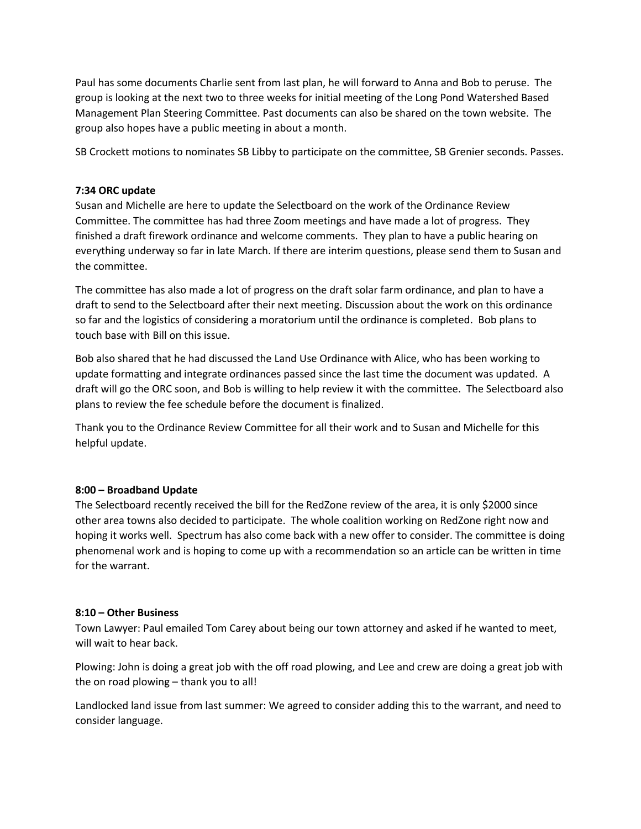Paul has some documents Charlie sent from last plan, he will forward to Anna and Bob to peruse. The group is looking at the next two to three weeks for initial meeting of the Long Pond Watershed Based Management Plan Steering Committee. Past documents can also be shared on the town website. The group also hopes have a public meeting in about a month.

SB Crockett motions to nominates SB Libby to participate on the committee, SB Grenier seconds. Passes.

### **7:34 ORC update**

Susan and Michelle are here to update the Selectboard on the work of the Ordinance Review Committee. The committee has had three Zoom meetings and have made a lot of progress. They finished a draft firework ordinance and welcome comments. They plan to have a public hearing on everything underway so far in late March. If there are interim questions, please send them to Susan and the committee.

The committee has also made a lot of progress on the draft solar farm ordinance, and plan to have a draft to send to the Selectboard after their next meeting. Discussion about the work on this ordinance so far and the logistics of considering a moratorium until the ordinance is completed. Bob plans to touch base with Bill on this issue.

Bob also shared that he had discussed the Land Use Ordinance with Alice, who has been working to update formatting and integrate ordinances passed since the last time the document was updated. A draft will go the ORC soon, and Bob is willing to help review it with the committee. The Selectboard also plans to review the fee schedule before the document is finalized.

Thank you to the Ordinance Review Committee for all their work and to Susan and Michelle for this helpful update.

#### **8:00 – Broadband Update**

The Selectboard recently received the bill for the RedZone review of the area, it is only \$2000 since other area towns also decided to participate. The whole coalition working on RedZone right now and hoping it works well. Spectrum has also come back with a new offer to consider. The committee is doing phenomenal work and is hoping to come up with a recommendation so an article can be written in time for the warrant.

#### **8:10 – Other Business**

Town Lawyer: Paul emailed Tom Carey about being our town attorney and asked if he wanted to meet, will wait to hear back.

Plowing: John is doing a great job with the off road plowing, and Lee and crew are doing a great job with the on road plowing – thank you to all!

Landlocked land issue from last summer: We agreed to consider adding this to the warrant, and need to consider language.